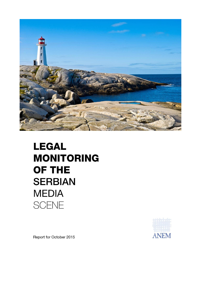

## **LEGAL MONITORING** OF THE **SERBIAN MEDIA SCENE**



Report for October 2015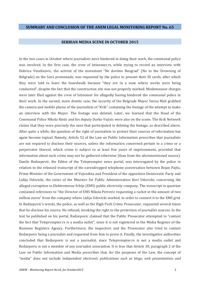## **SUMMARY AND CONCLUSION OF THE ANEM LEGAL MONITORING REPORT No. 65**

## **SERBIAN MEDIA SCENE IN OCTOBER 2015**

In the two cases in October where journalists were hindered in doing their work, the communal police was involved. In the first case, the crew of Istinomer.rs, while trying to record an interview with Dobrica Veselinovic, the activist of the movement "Ne davimo Beograd" (No to the Drowning of Belgrade) on the Sava promenade, was requested by the police to present their ID cards, after which they were told to leave the boardwalk because "they are in a zone where works were being conducted", despite the fact that the construction site was not properly marked. Misdemeanor charges were later filed against the crew of Istinomer for allegedly having hindered the communal police in their work. In the second, more drastic case, the security of the Belgrade Mayor Sinisa Mali grabbed the camera and mobile phone of the journalists of "Krik" containing the footage of the attempt to make an interview with the Mayor. The footage was deleted. Later, we learned that the Head of the Communal Police Nikola Ristic and his deputy Darko Vujisic were also on the scene. The Krik Network claims that they were precisely the ones that participated in deleting the footage, as described above. After quite a while, the question of the right of journalists to protect their sources of information has again become topical. Namely, Article 52 of the Law on Public Information prescribes that journalists are not required to disclose their sources, unless the information concerned pertain to a crime or a perpetrator thereof, which crime is subject to at least five years of imprisonment, provided that information about such crime may not be gathered otherwise (than from the aforementioned source). Danilo Redzepovic, the Editor of the Teleprompter news portal, was interrogated by the police in relation to the released transcript of the eavesdropped telephone conversation between Bojan Pajtic, Prime Minister of the Government of Vojvodina and President of the opposition Democratic Party and Lidija Udovicki, the sister of the Minister for Public Administration Kori Udovicki, concerning the alleged corruption in Elektromreze Srbije (EMS) public electricity company. The transcript in question contained references to "the Director of EMS Nikola Petrovic requesting a racket in the amount of two million euros" from the company where Lidija Udovicki worked, in order to connect it to the EMS grid. In Redzepovic's words, the police, as well as the High-Tech Crime Prosecutor, requested several times that he disclose his source. He refused, invoking the right to the protection of journalist sources. In the text he published on his portal, Redzepovic claimed that the Public Prosecutor attempted to "contest the fact that Teleprompter.rs is a media outlet", since it is not registered in the Media Register of the Business Registers Agency. Furthermore, the inspectors and the Prosecutor also tried to contest Redzepovic being a journalist and requested from him to prove it. Finally, the investigative authorities concluded that Redzepovic is not a journalist, since Teleprompter.rs is not a media outlet and Redzepovic is not a member of any journalist association. It is true that Article 30, paragraph 2 of the Law on Public Information and Media prescribes that, for the purposes of the Law, the concept of "media" does not include *independent electronic publications such as blogs, web presentations and*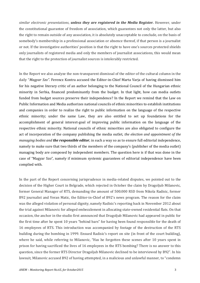*similar electronic presentations*, *unless they are registered in the Media Register.* However, under the constitutional guarantee of freedom of association, which guarantees not only the latter, but also the right to remain outside of any association, it is absolutely unacceptable to conclude, on the basis of somebody's membership in a professional association or absence thereof, if that person is a journalist or not. If the investigative authorities' position is that the right to have one's sources protected shields only journalists of registered media and only the members of journalist associations, this would mean that the right to the protection of journalist sources is intolerably restricted.

In the Report we also analyze the non-transparent dismissal of the editor of the cultural column in the daily "*Magyar Szo"*. Ferencz Kontra accused the Editor-in-Chief Marta Varja of having dismissed him for his negative literary critic of an author belonging to the National Council of the Hungarian ethnic minority in Serbia, financed predominantly from the budget. In that light, how can media outlets funded from budget sources preserve their independence? In the Report we remind that the Law on Public Information and Media authorizes national councils of ethnic minorities to establish institutions and companies in order to realize the right to public information on the language of the respective ethnic minority; under the same Law, they are also entitled to set up foundations for the accomplishment of general interest-goal of improving public information on the language of the respective ethnic minority. National councils of ethnic minorities are also obligated to configure the act of incorporation of the company publishing the media outlet, *the election and appointment of the managing bodies and the responsible editor,* in such a way so as to ensure full editorial independence, namely to make sure that two thirds of the members of the company's (publisher of the media outlet) managing body are composed by independent members. The question here is if that was done in the case of "Magyar Szo", namely if minimum systemic guarantees of editorial independence have been complied with.

In the part of the Report concerning jurisprudence in media-related disputes, we pointed out to the decision of the Higher Court in Belgrade, which rejected in October the claim by Dragoljub Milanovic, former General Manager of RTS, demanding the amount of 500.000 RSD from Nikola Radisic, former B92 journalist and Veran Matic, the Editor-in-Chief of B92's news program. The reason for the claim was the alleged violation of personal dignity, namely Radisic's reporting back in November 2012 about the trial against Milanovic for alleged embezzlement in allocating state-owned residential flats. On that occasion, the anchor in the studio first announced that Dragoljub Milanovic had appeared in public for the first time after he spent 10 years "behind bars" for having been found responsible for the death of 16 employees of RTS. This introduction was accompanied by footage of the destruction of the RTS building during the bombing in 1999. Ensued Radisic's report on site (in front of the court building), where he said, while referring to Milanovic, "Has he forgotten these scenes after 10 years spent in prison for having sacrificed the lives of 16 employees in the RTS bombing? There is no answer to this question, since the former RTS Director Dragoljub Milanovic declined to be interviewed by B92". In his lawsuit, Milanovic accused B92 of having attempted, in a malicious and unlawful manner, to "condemn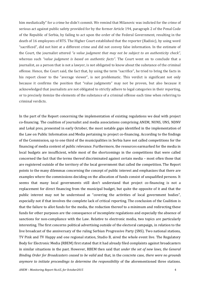him mediatically" for a crime he didn't commit. We remind that Milanovic was indicted for the crime of serious act against public safety provided for by the former Article 194, paragraph 2 of the Penal Code of the Republic of Serbia, by failing to act upon the order of the Federal Government, resulting in the death of 16 employees of RTS. The Higher Court established that the reporter (Radisic), by using word "sacrificed", did not hint at a different crime and did not convey false information. In the estimate of the Court, the journalist uttered *"a value judgment that may not be subject to an authenticity check",*  whereas such *"value judgment is based on authentic facts"*. The Court went on to conclude that a journalist, as a person that is not a lawyer, is not obligated to know about the substance of the criminal offense. Hence, the Court said, the fact that, by using the term "sacrifice", he tried to bring the facts in his report closer to the "average viewer", is not problematic. This verdict is significant not only because it confirms the position that "value judgments" may not be proven, but also because it acknowledged that journalists are not obligated to strictly adhere to legal categories in their reporting, or to precisely itemize the elements of the substance of a criminal offense each time when referring to criminal verdicts.

In the part of the Report concerning the implementation of existing regulations we deal with project co-financing. The coalition of journalist and media associations comprising ANEM, NUNS, UNS, NDNV and Lokal pres, presented in early October, the most notable gaps identified in the implementation of the Law on Public Information and Media pertaining to project co-financing. According to the findings of the Commission, up to one third of the municipalities in Serbia have not called competitions for the financing of media content of public relevance. Furthermore, the resources earmarked for the media in local budgets are insufficient, while most of the shortcomings in the competitions that were called concerned the fact that the terms thereof discriminated against certain media – most often those that are registered outside of the territory of the local government that called the competition. The Report points to the many dilemmas concerning the concept of public interest and emphasizes that there are examples where the commissions deciding on the allocation of funds consist of unqualified persons. It seems that many local governments still don't understand that project co-financing is not a replacement for direct financing from the municipal budget, but quite the opposite of it and that the public interest may not be understood as "covering the activities of local government bodies", especially not if that involves the complete lack of critical reporting. The conclusion of the Coalition is that the failure to allot funds for the media, the reduction thereof to a minimum and redirecting these funds for other purposes are the consequence of incomplete regulations and especially the absence of sanctions for non-compliance with the Law. Relative to electronic media, two topics are particularly interesting. The first concerns political advertising outside of the electoral campaign, in relation to the live broadcast of the anniversary of the ruling Serbian Progressive Party (SNS). Two national stations, TV Pink and TV Happy and one regional station, Studio B, aired the whole event live. The Regulatory Body for Electronic Media (RBEM) first stated that it had already filed complaints against broadcasters in similar situations in the past. However, RBEM then said that *under the set of new laws, the General Binding Order for Broadcasters ceased to be valid* and that, in the concrete case, *there were no grounds anymore to initiate proceedings to determine the responsibility* of the aforementioned three stations.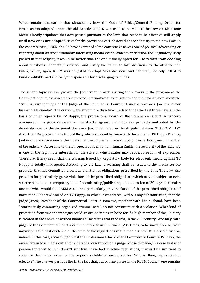What remains unclear in that situation is how the Code of Ethics/General Binding Order for Broadcasters adopted under the old Broadcasting Law ceased to be valid if the Law on Electronic Media already stipulates that acts passed pursuant to the laws that cease to be effective **will apply until new ones are adopted**, save for the provisions of such acts that are contrary to the new Law. In the concrete case, RBEM should have examined if the concrete case was one of political advertising or reporting about an unquestionably interesting media event. Whichever decision the Regulatory Body passed in that respect, it would be better than the one it finally opted for – to refrain from deciding about questions under its jurisdiction and justify the failure to take decisions by the absence of a bylaw, which, again, RBEM was obligated to adopt. Such decisions will definitely not help RBEM to build credibility and authority indispensable for discharging its duties.

The second topic we analyze are the (on-screen) crawls inviting the viewers in the program of the Happy national television stations to send information they might have in their possession about the "criminal wrongdoings of the Judge of the Commercial Court in Pancevo Speranca Jancic and her husband Aleksandar". The crawls were aired more than two hundred times the first three days. On the basis of other reports by TV Happy, the professional board of the Commercial Court in Pancevo announced in a press release that the attacks against the judge are probably motivated by the dissatisfaction by the judgment Speranca Jancic delivered in the dispute between "VIACTOM TIM" d.o.o. from Belgrade and the Port of Belgrade, associated by some with the owner of TV Happy Predrag Jankovic. That case is one of the most drastic examples of smear campaigns in Serbia against a member of the judiciary. According to the European Convention on Human Rights, the authority of the judiciary is one of the legitimate interests for the sake of which states may restrict freedom of expression. Therefore, it may seem that the warning issued by Regulatory body for electronic media against TV Happy is totally inadequate. According to the Law, a warning shall be issued to the media service provider that has committed a serious violation of obligations prescribed by the Law. The Law also provides for particularly grave violations of the prescribed obligations, which may be subject to even stricter penalties – a temporary ban of broadcasting/publishing – in a duration of 30 days. It remains unclear what would the RBEM consider a particularly grave violation of the prescribed obligations if more than 200 crawls aired on TV Happy, in which it was stated, without any substantiation, that the Judge Jancic, President of the Commercial Court in Pancevo, together with her husband, have been "continuously committing organized criminal acts", do not constitute such a violation. What kind of protection from smear campaigns could an ordinary citizen hope for if a high member of the judiciary is treated in the above-described manner? The fact is that in Serbia, in the 21<sup>st</sup> century, one may call a judge of the Commercial Court a criminal more than 200 times (234 times, to be more precise) with impunity is the best evidence of the state of the regulations in the media sector. It is a sad situation, indeed. In this case, according to what the Professional Board of the Commercial Court in Pancevo, the owner misused is media outlet for a personal crackdown on a judge whose decision, in a case that is of personal interest to him, doesn't suit him. If we had effective regulations, it would be sufficient to convince the media owner of the impermissibility of such practices. Why is, then, regulation not effective? The answer perhaps lies in the fact that, out of nine places in the RBEM Council, one remains